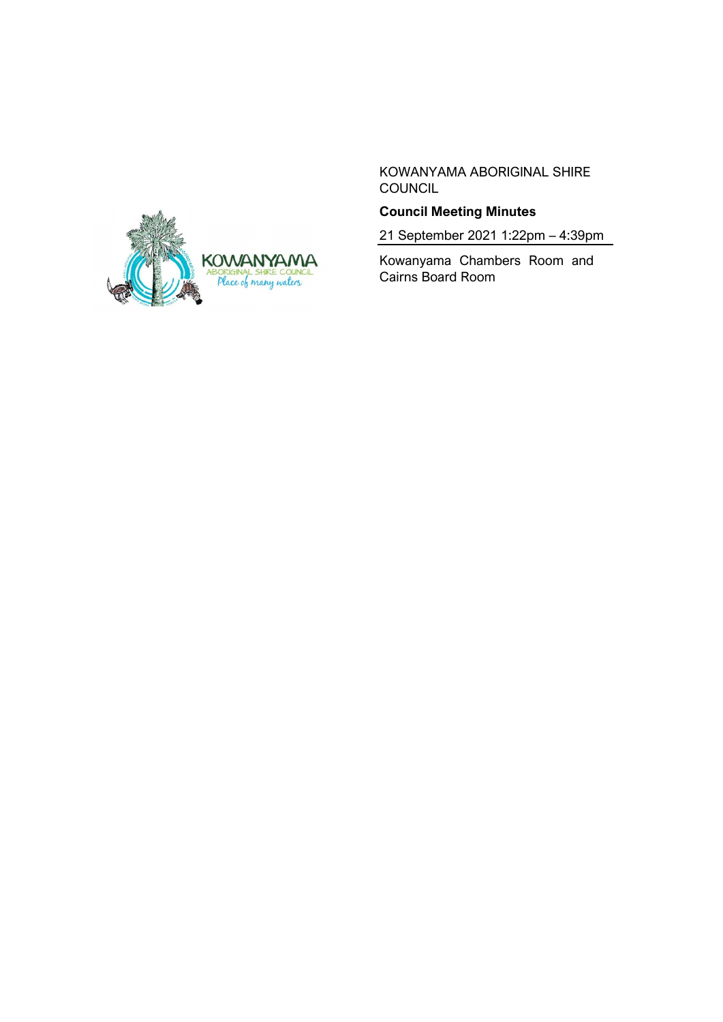

KOWANYAMA ABORIGINAL SHIRE **COUNCIL** 

# **Council Meeting Minutes**

21 September 2021 1:22pm – 4:39pm

Kowanyama Chambers Room and Cairns Board Room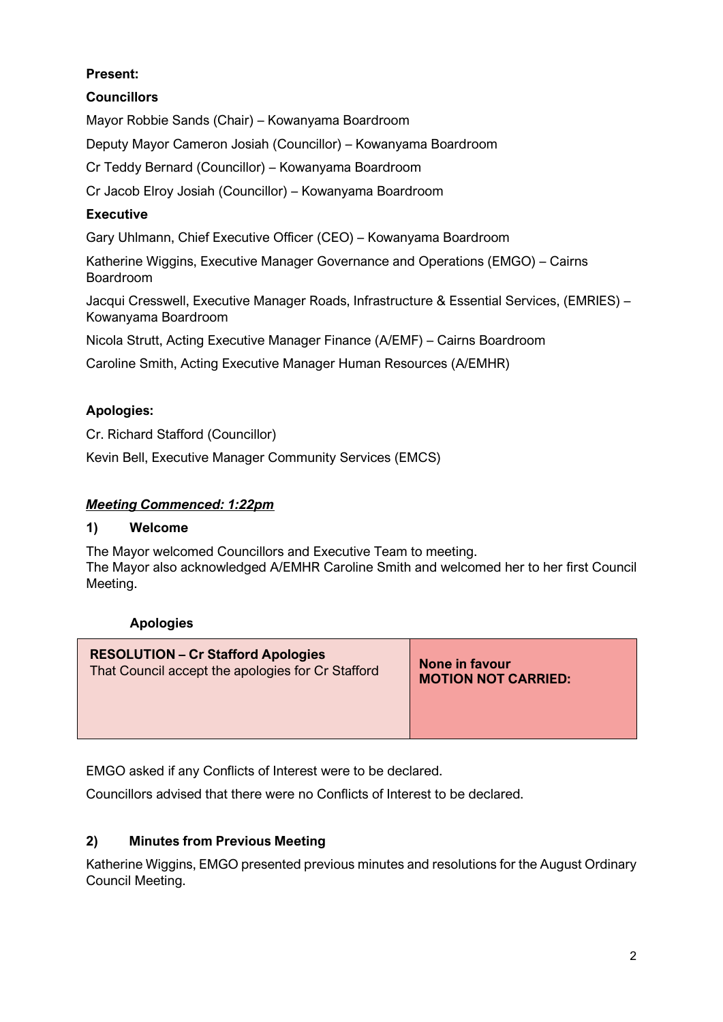# **Present:**

# **Councillors**

Mayor Robbie Sands (Chair) – Kowanyama Boardroom

Deputy Mayor Cameron Josiah (Councillor) – Kowanyama Boardroom

Cr Teddy Bernard (Councillor) – Kowanyama Boardroom

Cr Jacob Elroy Josiah (Councillor) – Kowanyama Boardroom

## **Executive**

Gary Uhlmann, Chief Executive Officer (CEO) – Kowanyama Boardroom

Katherine Wiggins, Executive Manager Governance and Operations (EMGO) – Cairns Boardroom

Jacqui Cresswell, Executive Manager Roads, Infrastructure & Essential Services, (EMRIES) – Kowanyama Boardroom

Nicola Strutt, Acting Executive Manager Finance (A/EMF) – Cairns Boardroom

Caroline Smith, Acting Executive Manager Human Resources (A/EMHR)

## **Apologies:**

Cr. Richard Stafford (Councillor)

Kevin Bell, Executive Manager Community Services (EMCS)

## *Meeting Commenced: 1:22pm*

### **1) Welcome**

The Mayor welcomed Councillors and Executive Team to meeting. The Mayor also acknowledged A/EMHR Caroline Smith and welcomed her to her first Council Meeting.

### **Apologies**

| <b>RESOLUTION - Cr Stafford Apologies</b>         | None in favour             |
|---------------------------------------------------|----------------------------|
| That Council accept the apologies for Cr Stafford | <b>MOTION NOT CARRIED:</b> |
|                                                   |                            |

EMGO asked if any Conflicts of Interest were to be declared.

Councillors advised that there were no Conflicts of Interest to be declared.

# **2) Minutes from Previous Meeting**

Katherine Wiggins, EMGO presented previous minutes and resolutions for the August Ordinary Council Meeting.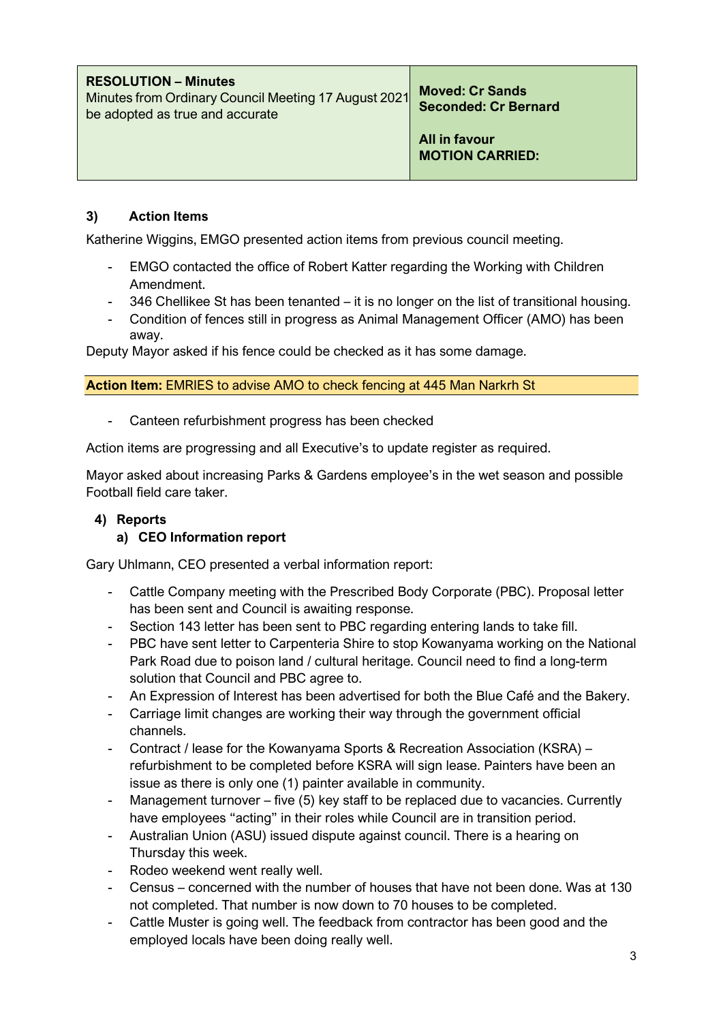| <b>RESOLUTION – Minutes</b><br>Minutes from Ordinary Council Meeting 17 August 2021<br>be adopted as true and accurate | <b>Moved: Cr Sands</b><br><b>Seconded: Cr Bernard</b> |
|------------------------------------------------------------------------------------------------------------------------|-------------------------------------------------------|
|                                                                                                                        | All in favour<br><b>MOTION CARRIED:</b>               |

## **3) Action Items**

Katherine Wiggins, EMGO presented action items from previous council meeting.

- EMGO contacted the office of Robert Katter regarding the Working with Children Amendment.
- 346 Chellikee St has been tenanted it is no longer on the list of transitional housing.
- Condition of fences still in progress as Animal Management Officer (AMO) has been away.

Deputy Mayor asked if his fence could be checked as it has some damage.

**Action Item:** EMRIES to advise AMO to check fencing at 445 Man Narkrh St

Canteen refurbishment progress has been checked

Action items are progressing and all Executive's to update register as required.

Mayor asked about increasing Parks & Gardens employee's in the wet season and possible Football field care taker.

# **4) Reports**

### **a) CEO Information report**

Gary Uhlmann, CEO presented a verbal information report:

- Cattle Company meeting with the Prescribed Body Corporate (PBC). Proposal letter has been sent and Council is awaiting response.
- Section 143 letter has been sent to PBC regarding entering lands to take fill.
- PBC have sent letter to Carpenteria Shire to stop Kowanyama working on the National Park Road due to poison land / cultural heritage. Council need to find a long-term solution that Council and PBC agree to.
- An Expression of Interest has been advertised for both the Blue Café and the Bakery.
- Carriage limit changes are working their way through the government official channels.
- Contract / lease for the Kowanyama Sports & Recreation Association (KSRA) refurbishment to be completed before KSRA will sign lease. Painters have been an issue as there is only one (1) painter available in community.
- Management turnover five  $(5)$  key staff to be replaced due to vacancies. Currently have employees "acting" in their roles while Council are in transition period.
- Australian Union (ASU) issued dispute against council. There is a hearing on Thursday this week.
- Rodeo weekend went really well.
- Census concerned with the number of houses that have not been done. Was at 130 not completed. That number is now down to 70 houses to be completed.
- Cattle Muster is going well. The feedback from contractor has been good and the employed locals have been doing really well.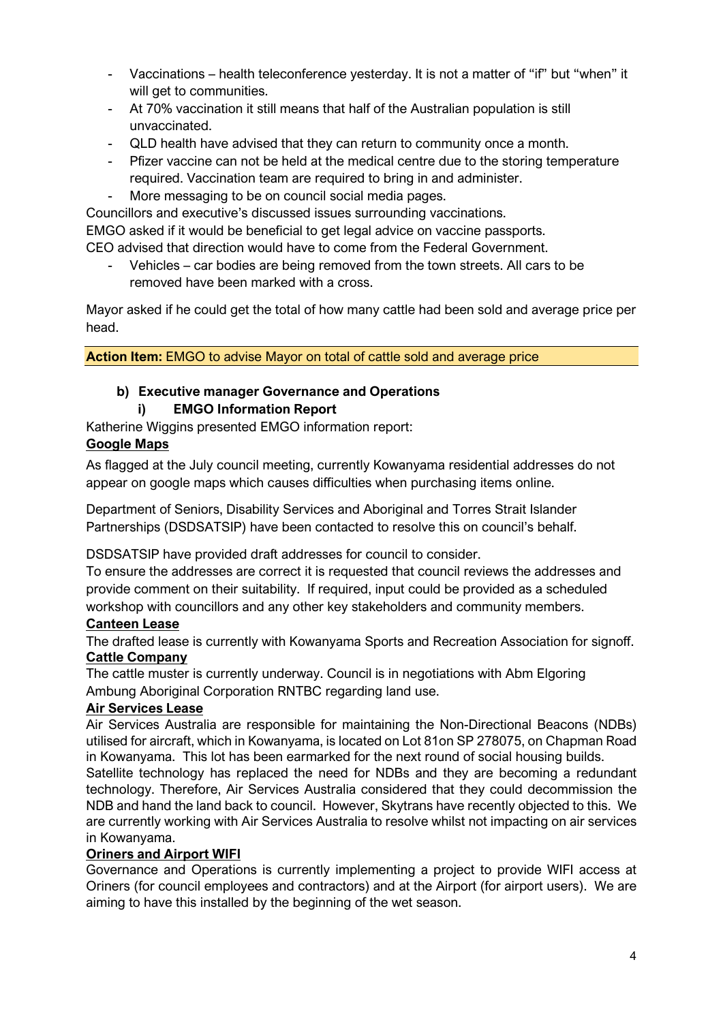- Vaccinations health teleconference yesterday. It is not a matter of "if" but "when" it will get to communities.
- At 70% vaccination it still means that half of the Australian population is still unvaccinated.
- QLD health have advised that they can return to community once a month.
- Pfizer vaccine can not be held at the medical centre due to the storing temperature required. Vaccination team are required to bring in and administer.
- More messaging to be on council social media pages.

Councillors and executive's discussed issues surrounding vaccinations.

EMGO asked if it would be beneficial to get legal advice on vaccine passports.

CEO advised that direction would have to come from the Federal Government.

- Vehicles – car bodies are being removed from the town streets. All cars to be removed have been marked with a cross.

Mayor asked if he could get the total of how many cattle had been sold and average price per head.

**Action Item:** EMGO to advise Mayor on total of cattle sold and average price

# **b) Executive manager Governance and Operations**

## **i) EMGO Information Report**

Katherine Wiggins presented EMGO information report:

## **Google Maps**

As flagged at the July council meeting, currently Kowanyama residential addresses do not appear on google maps which causes difficulties when purchasing items online.

Department of Seniors, Disability Services and Aboriginal and Torres Strait Islander Partnerships (DSDSATSIP) have been contacted to resolve this on council's behalf.

DSDSATSIP have provided draft addresses for council to consider.

To ensure the addresses are correct it is requested that council reviews the addresses and provide comment on their suitability. If required, input could be provided as a scheduled workshop with councillors and any other key stakeholders and community members.

### **Canteen Lease**

The drafted lease is currently with Kowanyama Sports and Recreation Association for signoff. **Cattle Company**

The cattle muster is currently underway. Council is in negotiations with Abm Elgoring Ambung Aboriginal Corporation RNTBC regarding land use.

### **Air Services Lease**

Air Services Australia are responsible for maintaining the Non-Directional Beacons (NDBs) utilised for aircraft, which in Kowanyama, is located on Lot 81on SP 278075, on Chapman Road in Kowanyama. This lot has been earmarked for the next round of social housing builds.

Satellite technology has replaced the need for NDBs and they are becoming a redundant technology. Therefore, Air Services Australia considered that they could decommission the NDB and hand the land back to council. However, Skytrans have recently objected to this. We are currently working with Air Services Australia to resolve whilst not impacting on air services in Kowanyama.

### **Oriners and Airport WIFI**

Governance and Operations is currently implementing a project to provide WIFI access at Oriners (for council employees and contractors) and at the Airport (for airport users). We are aiming to have this installed by the beginning of the wet season.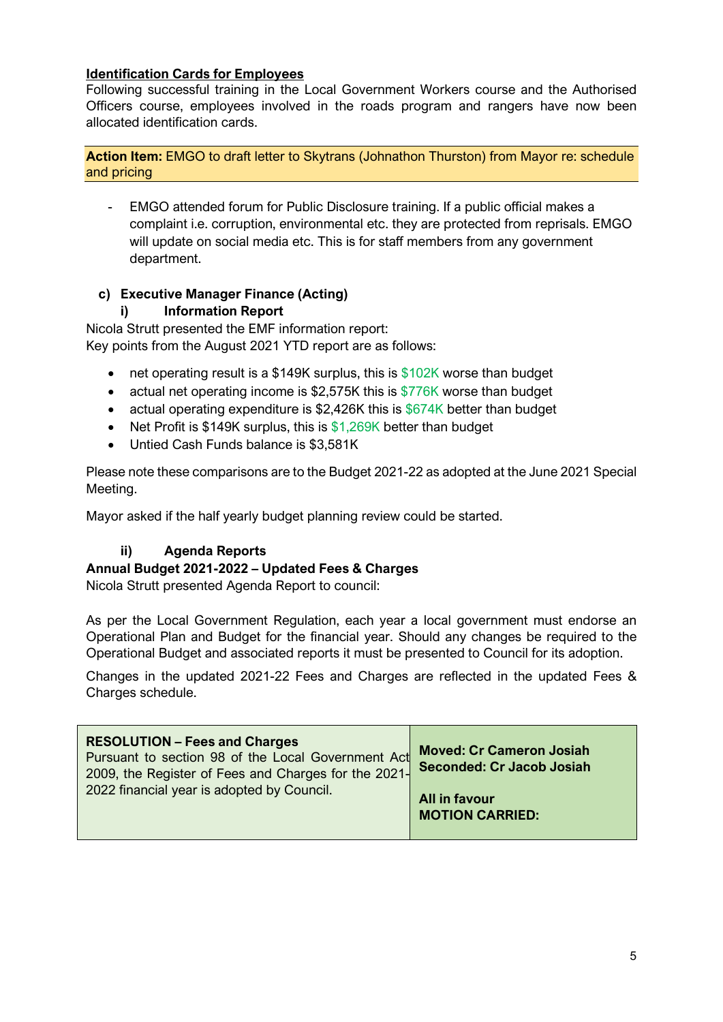## **Identification Cards for Employees**

Following successful training in the Local Government Workers course and the Authorised Officers course, employees involved in the roads program and rangers have now been allocated identification cards.

#### **Action Item:** EMGO to draft letter to Skytrans (Johnathon Thurston) from Mayor re: schedule and pricing

- EMGO attended forum for Public Disclosure training. If a public official makes a complaint i.e. corruption, environmental etc. they are protected from reprisals. EMGO will update on social media etc. This is for staff members from any government department.

### **c) Executive Manager Finance (Acting)**

### **i) Information Report**

Nicola Strutt presented the EMF information report: Key points from the August 2021 YTD report are as follows:

- net operating result is a \$149K surplus, this is  $$102K$  worse than budget
- actual net operating income is \$2,575K this is \$776K worse than budget
- actual operating expenditure is \$2,426K this is \$674K better than budget
- Net Profit is \$149K surplus, this is \$1,269K better than budget
- Untied Cash Funds balance is \$3,581K

Please note these comparisons are to the Budget 2021-22 as adopted at the June 2021 Special Meeting.

Mayor asked if the half yearly budget planning review could be started.

# **ii) Agenda Reports**

### **Annual Budget 2021-2022 – Updated Fees & Charges**

Nicola Strutt presented Agenda Report to council:

As per the Local Government Regulation, each year a local government must endorse an Operational Plan and Budget for the financial year. Should any changes be required to the Operational Budget and associated reports it must be presented to Council for its adoption.

Changes in the updated 2021-22 Fees and Charges are reflected in the updated Fees & Charges schedule.

| <b>RESOLUTION - Fees and Charges</b><br>Pursuant to section 98 of the Local Government Act<br>2009, the Register of Fees and Charges for the 2021- | <b>Moved: Cr Cameron Josiah</b><br><b>Seconded: Cr Jacob Josiah</b> |
|----------------------------------------------------------------------------------------------------------------------------------------------------|---------------------------------------------------------------------|
| 2022 financial year is adopted by Council.                                                                                                         | All in favour<br><b>MOTION CARRIED:</b>                             |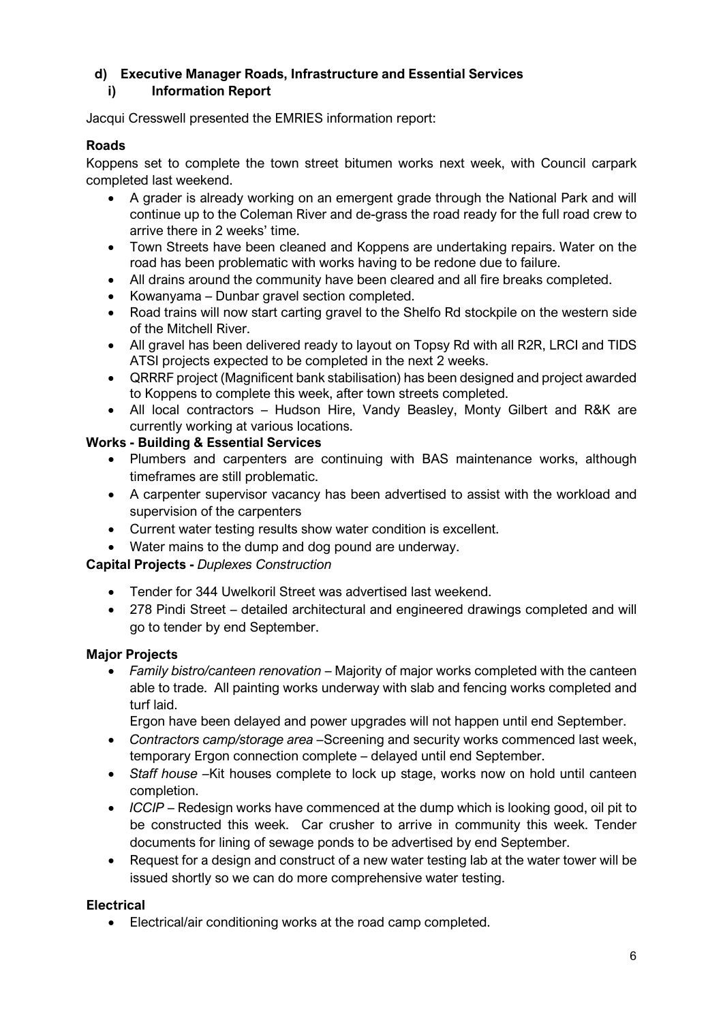## **d) Executive Manager Roads, Infrastructure and Essential Services i) Information Report**

Jacqui Cresswell presented the EMRIES information report:

## **Roads**

Koppens set to complete the town street bitumen works next week, with Council carpark completed last weekend.

- A grader is already working on an emergent grade through the National Park and will continue up to the Coleman River and de-grass the road ready for the full road crew to arrive there in 2 weeks' time.
- Town Streets have been cleaned and Koppens are undertaking repairs. Water on the road has been problematic with works having to be redone due to failure.
- All drains around the community have been cleared and all fire breaks completed.
- Kowanyama Dunbar gravel section completed.
- Road trains will now start carting gravel to the Shelfo Rd stockpile on the western side of the Mitchell River.
- All gravel has been delivered ready to layout on Topsy Rd with all R2R, LRCI and TIDS ATSI projects expected to be completed in the next 2 weeks.
- QRRRF project (Magnificent bank stabilisation) has been designed and project awarded to Koppens to complete this week, after town streets completed.
- All local contractors Hudson Hire, Vandy Beasley, Monty Gilbert and R&K are currently working at various locations.

## **Works - Building & Essential Services**

- Plumbers and carpenters are continuing with BAS maintenance works, although timeframes are still problematic.
- A carpenter supervisor vacancy has been advertised to assist with the workload and supervision of the carpenters
- Current water testing results show water condition is excellent.
- Water mains to the dump and dog pound are underway.

### **Capital Projects -** *Duplexes Construction*

- Tender for 344 Uwelkoril Street was advertised last weekend.
- 278 Pindi Street detailed architectural and engineered drawings completed and will go to tender by end September.

### **Major Projects**

• *Family bistro/canteen renovation* – Majority of major works completed with the canteen able to trade. All painting works underway with slab and fencing works completed and turf laid.

Ergon have been delayed and power upgrades will not happen until end September.

- *Contractors camp/storage area –*Screening and security works commenced last week, temporary Ergon connection complete – delayed until end September.
- *Staff house –*Kit houses complete to lock up stage, works now on hold until canteen completion.
- *ICCIP*  Redesign works have commenced at the dump which is looking good, oil pit to be constructed this week. Car crusher to arrive in community this week. Tender documents for lining of sewage ponds to be advertised by end September.
- Request for a design and construct of a new water testing lab at the water tower will be issued shortly so we can do more comprehensive water testing.

# **Electrical**

• Electrical/air conditioning works at the road camp completed.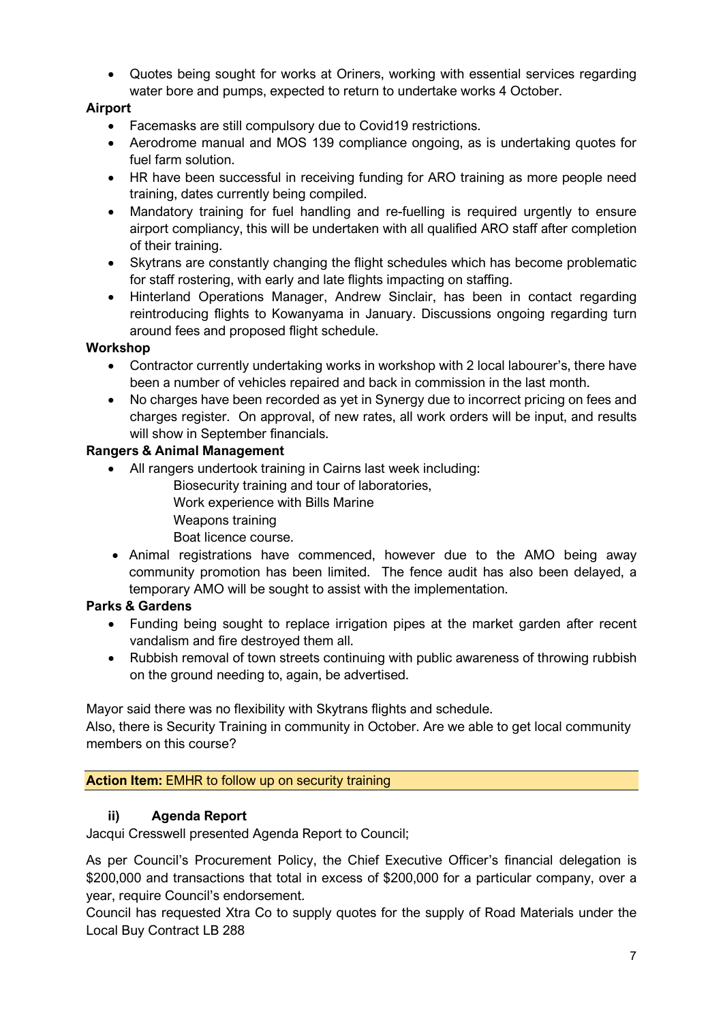• Quotes being sought for works at Oriners, working with essential services regarding water bore and pumps, expected to return to undertake works 4 October.

## **Airport**

- Facemasks are still compulsory due to Covid19 restrictions.
- Aerodrome manual and MOS 139 compliance ongoing, as is undertaking quotes for fuel farm solution.
- HR have been successful in receiving funding for ARO training as more people need training, dates currently being compiled.
- Mandatory training for fuel handling and re-fuelling is required urgently to ensure airport compliancy, this will be undertaken with all qualified ARO staff after completion of their training.
- Skytrans are constantly changing the flight schedules which has become problematic for staff rostering, with early and late flights impacting on staffing.
- Hinterland Operations Manager, Andrew Sinclair, has been in contact regarding reintroducing flights to Kowanyama in January. Discussions ongoing regarding turn around fees and proposed flight schedule.

## **Workshop**

- Contractor currently undertaking works in workshop with 2 local labourer's, there have been a number of vehicles repaired and back in commission in the last month.
- No charges have been recorded as yet in Synergy due to incorrect pricing on fees and charges register. On approval, of new rates, all work orders will be input, and results will show in September financials.

## **Rangers & Animal Management**

- All rangers undertook training in Cairns last week including:
	- Biosecurity training and tour of laboratories,
		- Work experience with Bills Marine
		- Weapons training
	- Boat licence course.
- Animal registrations have commenced, however due to the AMO being away community promotion has been limited. The fence audit has also been delayed, a temporary AMO will be sought to assist with the implementation.

# **Parks & Gardens**

- Funding being sought to replace irrigation pipes at the market garden after recent vandalism and fire destroyed them all.
- Rubbish removal of town streets continuing with public awareness of throwing rubbish on the ground needing to, again, be advertised.

Mayor said there was no flexibility with Skytrans flights and schedule.

Also, there is Security Training in community in October. Are we able to get local community members on this course?

# **Action Item:** EMHR to follow up on security training

# **ii) Agenda Report**

Jacqui Cresswell presented Agenda Report to Council;

As per Council's Procurement Policy, the Chief Executive Officer's financial delegation is \$200,000 and transactions that total in excess of \$200,000 for a particular company, over a year, require Council's endorsement.

Council has requested Xtra Co to supply quotes for the supply of Road Materials under the Local Buy Contract LB 288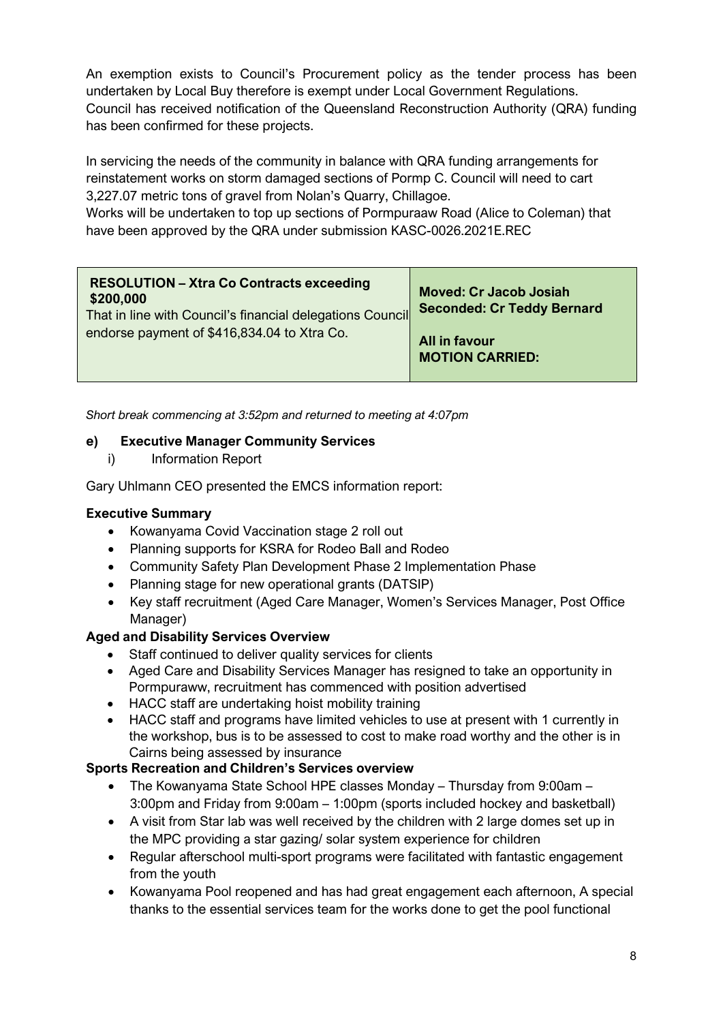An exemption exists to Council's Procurement policy as the tender process has been undertaken by Local Buy therefore is exempt under Local Government Regulations. Council has received notification of the Queensland Reconstruction Authority (QRA) funding has been confirmed for these projects.

In servicing the needs of the community in balance with QRA funding arrangements for reinstatement works on storm damaged sections of Pormp C. Council will need to cart 3,227.07 metric tons of gravel from Nolan's Quarry, Chillagoe.

Works will be undertaken to top up sections of Pormpuraaw Road (Alice to Coleman) that have been approved by the QRA under submission KASC-0026.2021E.REC

| <b>RESOLUTION - Xtra Co Contracts exceeding</b><br>\$200,000<br>That in line with Council's financial delegations Council | <b>Moved: Cr Jacob Josiah</b><br><b>Seconded: Cr Teddy Bernard</b> |
|---------------------------------------------------------------------------------------------------------------------------|--------------------------------------------------------------------|
| endorse payment of \$416,834.04 to Xtra Co.                                                                               | All in favour<br><b>MOTION CARRIED:</b>                            |

*Short break commencing at 3:52pm and returned to meeting at 4:07pm*

### **e) Executive Manager Community Services**

i) Information Report

Gary Uhlmann CEO presented the EMCS information report:

#### **Executive Summary**

- Kowanyama Covid Vaccination stage 2 roll out
- Planning supports for KSRA for Rodeo Ball and Rodeo
- Community Safety Plan Development Phase 2 Implementation Phase
- Planning stage for new operational grants (DATSIP)
- Key staff recruitment (Aged Care Manager, Women's Services Manager, Post Office Manager)

### **Aged and Disability Services Overview**

- Staff continued to deliver quality services for clients
- Aged Care and Disability Services Manager has resigned to take an opportunity in Pormpuraww, recruitment has commenced with position advertised
- HACC staff are undertaking hoist mobility training
- HACC staff and programs have limited vehicles to use at present with 1 currently in the workshop, bus is to be assessed to cost to make road worthy and the other is in Cairns being assessed by insurance

### **Sports Recreation and Children's Services overview**

- The Kowanyama State School HPE classes Monday Thursday from 9:00am 3:00pm and Friday from 9:00am – 1:00pm (sports included hockey and basketball)
- A visit from Star lab was well received by the children with 2 large domes set up in the MPC providing a star gazing/ solar system experience for children
- Regular afterschool multi-sport programs were facilitated with fantastic engagement from the youth
- Kowanyama Pool reopened and has had great engagement each afternoon, A special thanks to the essential services team for the works done to get the pool functional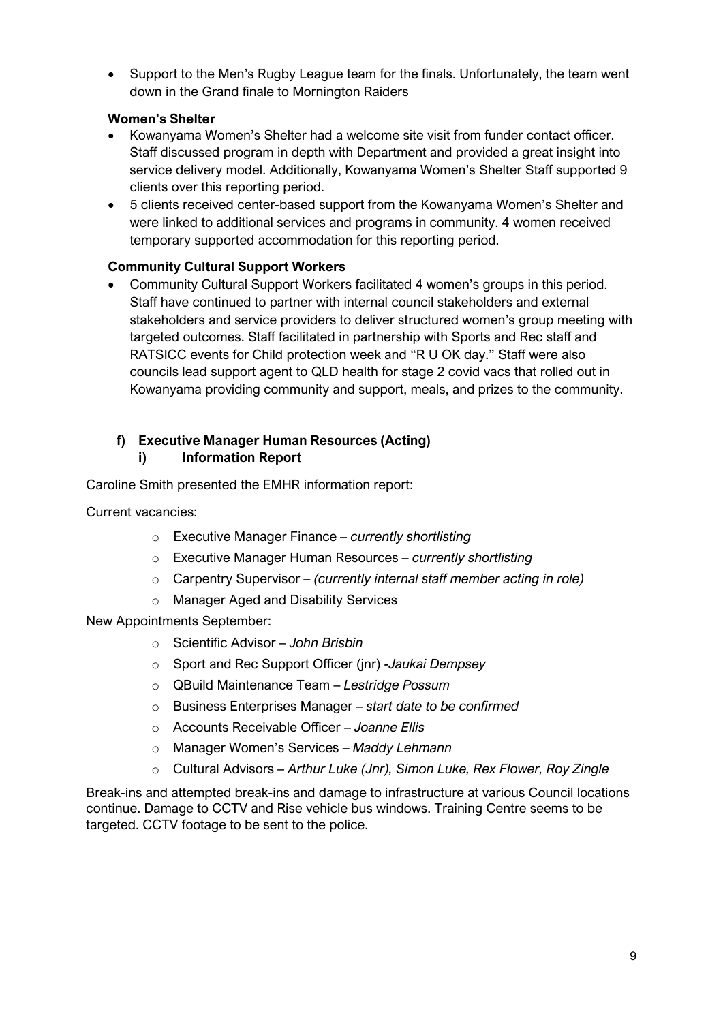• Support to the Men's Rugby League team for the finals. Unfortunately, the team went down in the Grand finale to Mornington Raiders

## **Women's Shelter**

- Kowanyama Women's Shelter had a welcome site visit from funder contact officer. Staff discussed program in depth with Department and provided a great insight into service delivery model. Additionally, Kowanyama Women's Shelter Staff supported 9 clients over this reporting period.
- 5 clients received center-based support from the Kowanyama Women's Shelter and were linked to additional services and programs in community. 4 women received temporary supported accommodation for this reporting period.

# **Community Cultural Support Workers**

• Community Cultural Support Workers facilitated 4 women's groups in this period. Staff have continued to partner with internal council stakeholders and external stakeholders and service providers to deliver structured women's group meeting with targeted outcomes. Staff facilitated in partnership with Sports and Rec staff and RATSICC events for Child protection week and "R U OK day." Staff were also councils lead support agent to QLD health for stage 2 covid vacs that rolled out in Kowanyama providing community and support, meals, and prizes to the community.

#### **f) Executive Manager Human Resources (Acting) i) Information Report**

Caroline Smith presented the EMHR information report:

Current vacancies:

- o Executive Manager Finance *– currently shortlisting*
- o Executive Manager Human Resources *– currently shortlisting*
- o Carpentry Supervisor *– (currently internal staff member acting in role)*
- o Manager Aged and Disability Services

New Appointments September:

- o Scientific Advisor *John Brisbin*
- o Sport and Rec Support Officer (jnr) *-Jaukai Dempsey*
- o QBuild Maintenance Team *Lestridge Possum*
- o Business Enterprises Manager *start date to be confirmed*
- o Accounts Receivable Officer *Joanne Ellis*
- o Manager Women's Services *Maddy Lehmann*
- o Cultural Advisors *– Arthur Luke (Jnr), Simon Luke, Rex Flower, Roy Zingle*

Break-ins and attempted break-ins and damage to infrastructure at various Council locations continue. Damage to CCTV and Rise vehicle bus windows. Training Centre seems to be targeted. CCTV footage to be sent to the police.